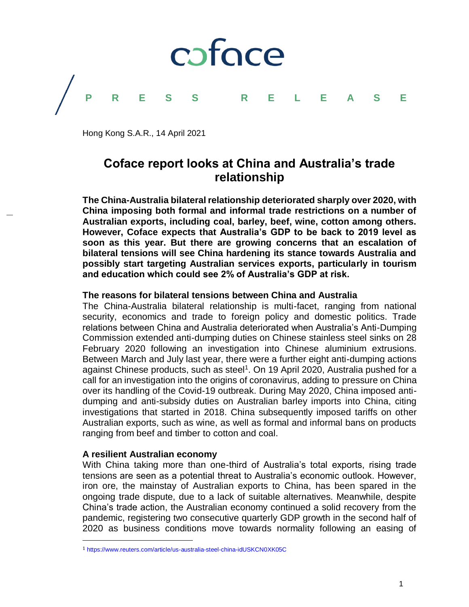

Hong Kong S.A.R., 14 April 2021

# **Coface report looks at China and Australia's trade relationship**

**The China-Australia bilateral relationship deteriorated sharply over 2020, with China imposing both formal and informal trade restrictions on a number of Australian exports, including coal, barley, beef, wine, cotton among others. However, Coface expects that Australia's GDP to be back to 2019 level as soon as this year. But there are growing concerns that an escalation of bilateral tensions will see China hardening its stance towards Australia and possibly start targeting Australian services exports, particularly in tourism and education which could see 2% of Australia's GDP at risk.** 

## **The reasons for bilateral tensions between China and Australia**

The China-Australia bilateral relationship is multi-facet, ranging from national security, economics and trade to foreign policy and domestic politics. Trade relations between China and Australia deteriorated when Australia's Anti-Dumping Commission extended anti-dumping duties on Chinese stainless steel sinks on 28 February 2020 following an investigation into Chinese aluminium extrusions. Between March and July last year, there were a further eight anti-dumping actions against Chinese products, such as steel<sup>1</sup>. On 19 April 2020, Australia pushed for a call for an investigation into the origins of coronavirus, adding to pressure on China over its handling of the Covid-19 outbreak. During May 2020, China imposed antidumping and anti-subsidy duties on Australian barley imports into China, citing investigations that started in 2018. China subsequently imposed tariffs on other Australian exports, such as wine, as well as formal and informal bans on products ranging from beef and timber to cotton and coal.

# **A resilient Australian economy**

 $\overline{\phantom{a}}$ 

With China taking more than one-third of Australia's total exports, rising trade tensions are seen as a potential threat to Australia's economic outlook. However, iron ore, the mainstay of Australian exports to China, has been spared in the ongoing trade dispute, due to a lack of suitable alternatives. Meanwhile, despite China's trade action, the Australian economy continued a solid recovery from the pandemic, registering two consecutive quarterly GDP growth in the second half of 2020 as business conditions move towards normality following an easing of

<sup>1</sup> <https://www.reuters.com/article/us-australia-steel-china-idUSKCN0XK05C>